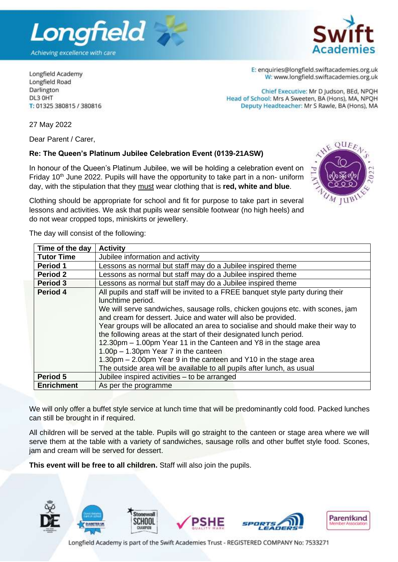

Longfield Academy Longfield Road Darlington DL3 OHT T: 01325 380815 / 380816 E: enquiries@longfield.swiftacademies.org.uk W: www.longfield.swiftacademies.org.uk

Chief Executive: Mr D Judson, BEd, NPOH Head of School: Mrs A Sweeten, BA (Hons), MA, NPQH Deputy Headteacher: Mr S Rawle, BA (Hons), MA

27 May 2022

Dear Parent / Carer.

## **Re: The Queen's Platinum Jubilee Celebration Event (0139-21ASW)**

In honour of the Queen's Platinum Jubilee, we will be holding a celebration event on Friday  $10<sup>th</sup>$  June 2022. Pupils will have the opportunity to take part in a non- uniform day, with the stipulation that they must wear clothing that is **red, white and blue**.



Clothing should be appropriate for school and fit for purpose to take part in several lessons and activities. We ask that pupils wear sensible footwear (no high heels) and do not wear cropped tops, miniskirts or jewellery.

The day will consist of the following:

| Time of the day   | <b>Activity</b>                                                                                                                                       |
|-------------------|-------------------------------------------------------------------------------------------------------------------------------------------------------|
| <b>Tutor Time</b> | Jubilee information and activity                                                                                                                      |
| <b>Period 1</b>   | Lessons as normal but staff may do a Jubilee inspired theme                                                                                           |
| <b>Period 2</b>   | Lessons as normal but staff may do a Jubilee inspired theme                                                                                           |
| Period 3          | Lessons as normal but staff may do a Jubilee inspired theme                                                                                           |
| Period 4          | All pupils and staff will be invited to a FREE banquet style party during their<br>lunchtime period.                                                  |
|                   | We will serve sandwiches, sausage rolls, chicken goujons etc. with scones, jam<br>and cream for dessert. Juice and water will also be provided.       |
|                   | Year groups will be allocated an area to socialise and should make their way to<br>the following areas at the start of their designated lunch period. |
|                   | 12.30pm - 1.00pm Year 11 in the Canteen and Y8 in the stage area                                                                                      |
|                   | $1.00p - 1.30pm$ Year 7 in the canteen                                                                                                                |
|                   | 1.30pm – 2.00pm Year 9 in the canteen and Y10 in the stage area                                                                                       |
|                   | The outside area will be available to all pupils after lunch, as usual                                                                                |
| Period 5          | Jubilee inspired activities - to be arranged                                                                                                          |
| <b>Enrichment</b> | As per the programme                                                                                                                                  |

We will only offer a buffet style service at lunch time that will be predominantly cold food. Packed lunches can still be brought in if required.

All children will be served at the table. Pupils will go straight to the canteen or stage area where we will serve them at the table with a variety of sandwiches, sausage rolls and other buffet style food. Scones, jam and cream will be served for dessert.

**This event will be free to all children.** Staff will also join the pupils.